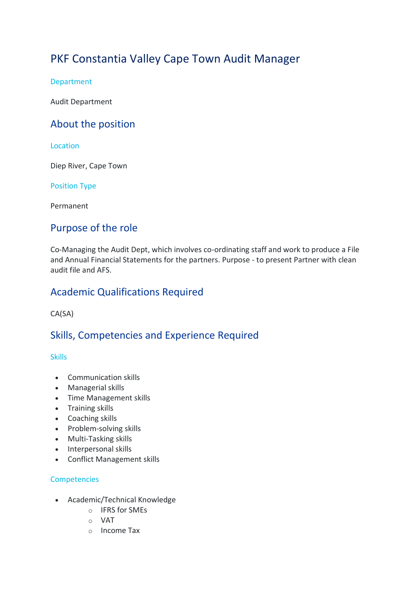# PKF Constantia Valley Cape Town Audit Manager

Department

Audit Department

# About the position

### Location

Diep River, Cape Town

Position Type

Permanent

# Purpose of the role

Co-Managing the Audit Dept, which involves co-ordinating staff and work to produce a File and Annual Financial Statements for the partners. Purpose - to present Partner with clean audit file and AFS.

# Academic Qualifications Required

CA(SA)

# Skills, Competencies and Experience Required

#### **Skills**

- Communication skills
- Managerial skills
- Time Management skills
- Training skills
- Coaching skills
- Problem-solving skills
- Multi-Tasking skills
- Interpersonal skills
- Conflict Management skills

### **Competencies**

- Academic/Technical Knowledge
	- o IFRS for SMEs
	- o VAT
	- o Income Tax